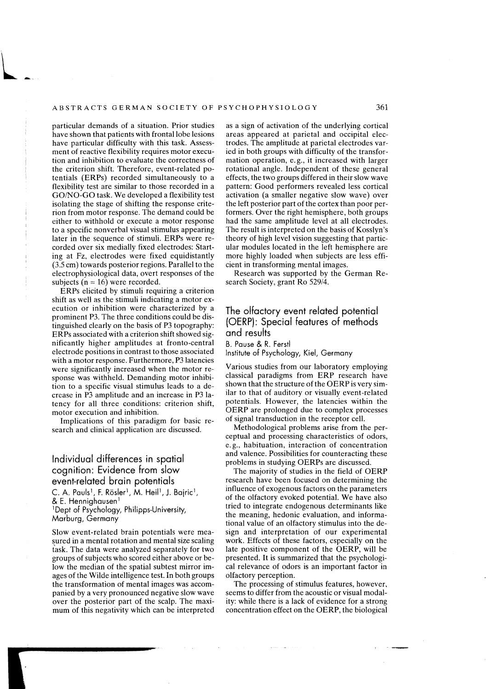particular demands of a situation. Prior studies have shown that patients with frontal lobe lesions have particular difficulty with this task. Assessment of reactive flexibility requires motor execution and inhibition to evaluate the correctness of the criterion shift. Therefore, event-related potentials (ERPs) recorded simultaneously to a flexibility test are similar to those recorded in a GO/NO-GO task. We developed a flexibility test isolating the stage of shifting the response criterion from motor response. The demand could be either to withhold or execute a motor response to a specific nonverbal visual stimulus appearing later in the sequence of stimuli. ERPs were recorded over six medially fixed electrodes: Starting at Fz, electrodes were fixed equidistantly (3.5 cm) towards posterior regions. Parallel to the electrophysiological data, overt responses of the subjects ( $n = 16$ ) were recorded.

ERPs elicited by stimuli requiring a criterion shift as well as the stimuli indicating a motor execution or inhibition were characterized by a prominent P3. The three conditions could be distinguished clearly on the basis of P3 topography: ERPs associated with a criterion shift showed significantly higher amplitudes at fronto-central electrode positions in contrast to those associated with a motor response. Furthermore, P3 latencies were significantly increased when the motor response was withheld. Demanding motor inhibition to a specific visual stimulus leads to a decrease in P3 amplitude and an increase in P3 latency for all three conditions: criterion shift, motor execution and inhibition.

Implications of this paradigm for basic research and clinical application are discussed.

## Individual differences in spatial cognition: Evidence from slow event-related brain potentials

C. A. Pauls<sup>1</sup>, F. Rösler<sup>1</sup>, M. Heil<sup>1</sup>, J. Bajric<sup>1</sup>, & E. Hennighausen $<sup>1</sup>$ </sup> 1Dept of Psychology, Philipps-University,

Marburg, Germany

Slow event-related brain potentials were measured in a mental rotation and mental size scaling task. The data were analyzed separately for two groups of subjects who scored either above or below the median of the spatial subtest mirror images of the Wilde intelligence test. In both groups the transformation of mental images was accompanied by a very pronounced negative slow wave over the posterior part of the scalp. The maximum of this negativity which can be interpreted

as a sign of activation of the underlying cortical areas appeared at parietal and occipital electrodes. The amplitude at parietal electrodes varied in both groups with difficulty of the transformation operation, e. g., it increased with larger rotational angle. Independent of these general effects, the two groups differed in their slow wave pattern: Good performers revealed less cortical activation (a smaller negative slow wave) over the left posterior part of the cortex than poor performers. Over the right hemisphere, both groups had the same amplitude level at all electrodes. The result is interpreted on the basis of Kosslyn's theory of high level vision suggesting that particular modules located in the left hemisphere are more highly loaded when subjects are less efficient in transforming mental images.

Research was supported by the German Research Society, grant Ro 529/4.

## The olfactory event related potential (OERP): Special features of methods and results

B. Pause & R. Ferstl Institute of Psychology, Kiel, Germany

Various studies from our laboratory employing classical paradigms from ERP research have shown that the structure of the OERP is very similar *to* that of auditory or visually event-related potentials. However, the latencies within the **OERP** are prolonged due to complex processes of signal transduction in the receptor cell.

Methodological problems arise from the perceptual and processing characteristics of odors, e. g., habituation, interaction of concentration and valence. Possibilities for counteracting these problems in studying OERPs are discussed.

The majority of studies in the field of OERP research have been focused on determining the influence of exogenous factors on the parameters of the olfactory evoked potential. We have also tried to integrate endogenous determinants like the meaning, hedonic evaluation, and informational value of an olfactory stimulus into the design and interpretation of our experimental work. Effects of these factors, especially on the late positive component of the OERP, will be presented. lt is summarized that the psychological relevance of odors is an important factor in olfactory perception.

The processing of stimulus features, however, seems to differ from the acoustic or visual modality: while there is a lack of evidence for a strong concentration effect on the OERP, the biological